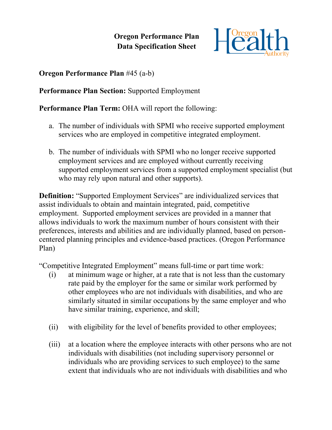**Oregon Performance Plan Data Specification Sheet**



**Oregon Performance Plan** #45 (a-b)

**Performance Plan Section:** Supported Employment

**Performance Plan Term:** OHA will report the following:

- a. The number of individuals with SPMI who receive supported employment services who are employed in competitive integrated employment.
- b. The number of individuals with SPMI who no longer receive supported employment services and are employed without currently receiving supported employment services from a supported employment specialist (but who may rely upon natural and other supports).

**Definition:** "Supported Employment Services" are individualized services that assist individuals to obtain and maintain integrated, paid, competitive employment. Supported employment services are provided in a manner that allows individuals to work the maximum number of hours consistent with their preferences, interests and abilities and are individually planned, based on personcentered planning principles and evidence-based practices. (Oregon Performance Plan)

"Competitive Integrated Employment" means full-time or part time work:

- (i) at minimum wage or higher, at a rate that is not less than the customary rate paid by the employer for the same or similar work performed by other employees who are not individuals with disabilities, and who are similarly situated in similar occupations by the same employer and who have similar training, experience, and skill;
- (ii) with eligibility for the level of benefits provided to other employees;
- (iii) at a location where the employee interacts with other persons who are not individuals with disabilities (not including supervisory personnel or individuals who are providing services to such employee) to the same extent that individuals who are not individuals with disabilities and who